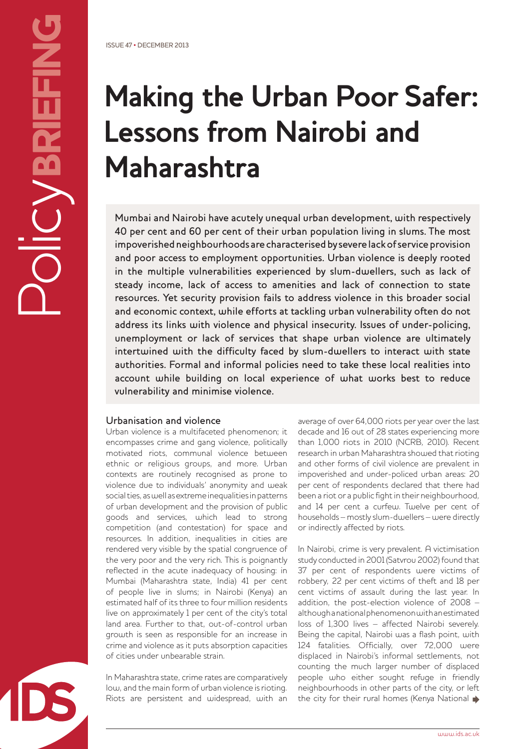# **Making the Urban Poor Safer: Lessons from Nairobi and Maharashtra**

Mumbai and Nairobi have acutely unequal urban development, with respectively 40 per cent and 60 per cent of their urban population living in slums. The most impoverished neighbourhoods are characterised by severe lack of service provision and poor access to employment opportunities. Urban violence is deeply rooted in the multiple vulnerabilities experienced by slum-dwellers, such as lack of steady income, lack of access to amenities and lack of connection to state resources. Yet security provision fails to address violence in this broader social and economic context, while efforts at tackling urban vulnerability often do not address its links with violence and physical insecurity. Issues of under-policing, unemployment or lack of services that shape urban violence are ultimately intertwined with the difficulty faced by slum-dwellers to interact with state authorities. Formal and informal policies need to take these local realities into account while building on local experience of what works best to reduce vulnerability and minimise violence.

## Urbanisation and violence

Urban violence is a multifaceted phenomenon; it encompasses crime and gang violence, politically motivated riots, communal violence between ethnic or religious groups, and more. Urban contexts are routinely recognised as prone to violence due to individuals' anonymity and weak social ties, as well as extreme inequalities in patterns of urban development and the provision of public goods and services, which lead to strong competition (and contestation) for space and resources. In addition, inequalities in cities are rendered very visible by the spatial congruence of the very poor and the very rich. This is poignantly reflected in the acute inadequacy of housing: in Mumbai (Maharashtra state, India) 41 per cent of people live in slums; in Nairobi (Kenya) an estimated half of its three to four million residents live on approximately 1 per cent of the city's total land area. Further to that, out-of-control urban growth is seen as responsible for an increase in crime and violence as it puts absorption capacities of cities under unbearable strain.

In Maharashtra state, crime rates are comparatively low, and the main form of urban violence is rioting. Riots are persistent and widespread, with an

average of over 64,000 riots per year over the last decade and 16 out of 28 states experiencing more than 1,000 riots in 2010 (NCRB, 2010). Recent research in urban Maharashtra showed that rioting and other forms of civil violence are prevalent in impoverished and under-policed urban areas: 20 per cent of respondents declared that there had been a riot or a public fight in their neighbourhood, and 14 per cent a curfew. Twelve per cent of households – mostly slum-dwellers – were directly or indirectly affected by riots.

In Nairobi, crime is very prevalent. A victimisation study conducted in 2001 (Satvrou 2002) found that 37 per cent of respondents were victims of robbery, 22 per cent victims of theft and 18 per cent victims of assault during the last year. In addition, the post-election violence of 2008 – although a national phenomenon with an estimated loss of 1,300 lives – affected Nairobi severely. Being the capital, Nairobi was a flash point, with 124 fatalities. Officially, over 72,000 were displaced in Nairobi's informal settlements, not counting the much larger number of displaced people who either sought refuge in friendly neighbourhoods in other parts of the city, or left the city for their rural homes (Kenya National  $\blacktriangleright$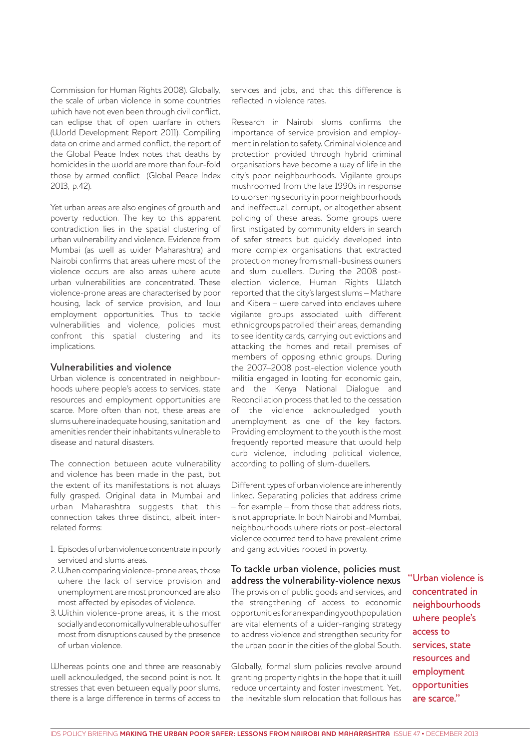Commission for Human Rights 2008). Globally, the scale of urban violence in some countries which have not even been through civil conflict, can eclipse that of open warfare in others (World Development Report 2011). Compiling data on crime and armed conflict, the report of the Global Peace Index notes that deaths by homicides in the world are more than four-fold those by armed conflict (Global Peace Index 2013, p.42).

Yet urban areas are also engines of growth and poverty reduction. The key to this apparent contradiction lies in the spatial clustering of urban vulnerability and violence. Evidence from Mumbai (as well as wider Maharashtra) and Nairobi confirms that areas where most of the violence occurs are also areas where acute urban vulnerabilities are concentrated. These violence-prone areas are characterised by poor housing, lack of service provision, and low employment opportunities. Thus to tackle vulnerabilities and violence, policies must confront this spatial clustering and its implications.

### Vulnerabilities and violence

Urban violence is concentrated in neighbourhoods where people's access to services, state resources and employment opportunities are scarce. More often than not, these areas are slums where inadequate housing, sanitation and amenities render their inhabitants vulnerable to disease and natural disasters.

The connection between acute vulnerability and violence has been made in the past, but the extent of its manifestations is not always fully grasped. Original data in Mumbai and urban Maharashtra suggests that this connection takes three distinct, albeit interrelated forms:

- 1. Episodes of urban violence concentrate in poorly serviced and slums areas.
- 2.When comparing violence-prone areas, those where the lack of service provision and unemployment are most pronounced are also most affected by episodes of violence.
- 3.Within violence-prone areas, it is the most socially and economically vulnerable who suffer most from disruptions caused by the presence of urban violence.

Whereas points one and three are reasonably well acknowledged, the second point is not. It stresses that even between equally poor slums, there is a large difference in terms of access to services and jobs, and that this difference is reflected in violence rates.

Research in Nairobi slums confirms the importance of service provision and employment in relation to safety. Criminal violence and protection provided through hybrid criminal organisations have become a way of life in the city's poor neighbourhoods. Vigilante groups mushroomed from the late 1990s in response to worsening security in poor neighbourhoods and ineffectual, corrupt, or altogether absent policing of these areas. Some groups were first instigated by community elders in search of safer streets but quickly developed into more complex organisations that extracted protection money from small-business owners and slum dwellers. During the 2008 postelection violence, Human Rights Watch reported that the city's largest slums – Mathare and Kibera – were carved into enclaves where vigilante groups associated with different ethnic groups patrolled 'their' areas, demanding to see identity cards, carrying out evictions and attacking the homes and retail premises of members of opposing ethnic groups. During the 2007–2008 post-election violence youth militia engaged in looting for economic gain, and the Kenya National Dialogue and Reconciliation process that led to the cessation of the violence acknowledged youth unemployment as one of the key factors. Providing employment to the youth is the most frequently reported measure that would help curb violence, including political violence, according to polling of slum-dwellers.

Different types of urban violence are inherently linked. Separating policies that address crime – for example – from those that address riots, is not appropriate. In both Nairobi and Mumbai, neighbourhoods where riots or post-electoral violence occurred tend to have prevalent crime and gang activities rooted in poverty.

To tackle urban violence, policies must address the vulnerability-violence nexus The provision of public goods and services, and the strengthening of access to economic opportunities for an expanding youth population are vital elements of a wider-ranging strategy to address violence and strengthen security for the urban poor in the cities of the global South.

Globally, formal slum policies revolve around granting property rights in the hope that it will reduce uncertainty and foster investment. Yet, the inevitable slum relocation that follows has "Urban violence is concentrated in neighbourhoods where people's access to services, state resources and employment opportunities are scarce."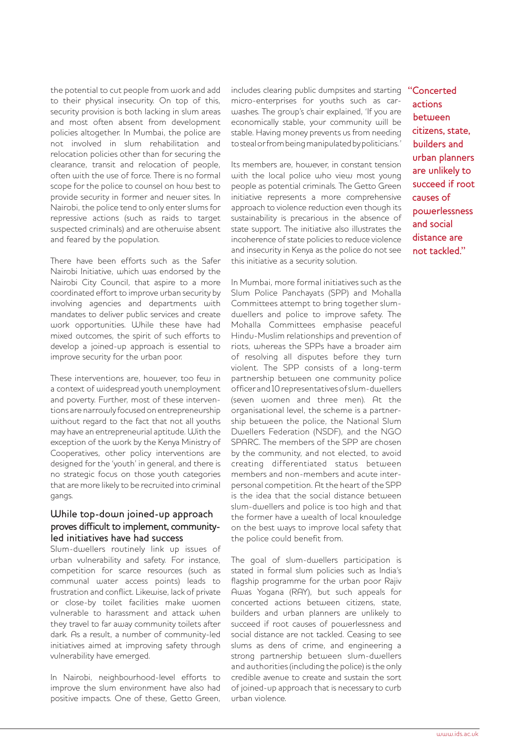the potential to cut people from work and add to their physical insecurity. On top of this, security provision is both lacking in slum areas and most often absent from development policies altogether. In Mumbai, the police are not involved in slum rehabilitation and relocation policies other than for securing the clearance, transit and relocation of people, often with the use of force. There is no formal scope for the police to counsel on how best to provide security in former and newer sites. In Nairobi, the police tend to only enter slums for repressive actions (such as raids to target suspected criminals) and are otherwise absent and feared by the population.

There have been efforts such as the Safer Nairobi Initiative, which was endorsed by the Nairobi City Council, that aspire to a more coordinated effort to improve urban security by involving agencies and departments with mandates to deliver public services and create work opportunities. While these have had mixed outcomes, the spirit of such efforts to develop a joined-up approach is essential to improve security for the urban poor.

These interventions are, however, too few in a context of widespread youth unemployment and poverty. Further, most of these interventions are narrowly focused on entrepreneurship without regard to the fact that not all youths may have an entrepreneurial aptitude. With the exception of the work by the Kenya Ministry of Cooperatives, other policy interventions are designed for the 'youth' in general, and there is no strategic focus on those youth categories that are more likely to be recruited into criminal gangs.

# While top-down joined-up approach proves difficult to implement, communityled initiatives have had success

Slum-dwellers routinely link up issues of urban vulnerability and safety. For instance, competition for scarce resources (such as communal water access points) leads to frustration and conflict. Likewise, lack of private or close-by toilet facilities make women vulnerable to harassment and attack when they travel to far away community toilets after dark. As a result, a number of community-led initiatives aimed at improving safety through vulnerability have emerged.

In Nairobi, neighbourhood-level efforts to improve the slum environment have also had positive impacts. One of these, Getto Green,

includes clearing public dumpsites and starting micro-enterprises for youths such as carwashes. The group's chair explained, 'If you are economically stable, your community will be stable. Having money prevents us from needing to steal or from being manipulated by politicians.'

Its members are, however, in constant tension with the local police who view most young people as potential criminals. The Getto Green initiative represents a more comprehensive approach to violence reduction even though its sustainability is precarious in the absence of state support. The initiative also illustrates the incoherence of state policies to reduce violence and insecurity in Kenya as the police do not see this initiative as a security solution.

In Mumbai, more formal initiatives such as the Slum Police Panchayats (SPP) and Mohalla Committees attempt to bring together slumdwellers and police to improve safety. The Mohalla Committees emphasise peaceful Hindu-Muslim relationships and prevention of riots, whereas the SPPs have a broader aim of resolving all disputes before they turn violent. The SPP consists of a long-term partnership between one community police officer and 10 representatives of slum-dwellers (seven women and three men). At the organisational level, the scheme is a partnership between the police, the National Slum Dwellers Federation (NSDF), and the NGO SPARC. The members of the SPP are chosen by the community, and not elected, to avoid creating differentiated status between members and non-members and acute interpersonal competition. At the heart of the SPP is the idea that the social distance between slum-dwellers and police is too high and that the former have a wealth of local knowledge on the best ways to improve local safety that the police could benefit from.

The goal of slum-dwellers participation is stated in formal slum policies such as India's flagship programme for the urban poor Rajiv Awas Yogana (RAY), but such appeals for concerted actions between citizens, state, builders and urban planners are unlikely to succeed if root causes of powerlessness and social distance are not tackled. Ceasing to see slums as dens of crime, and engineering a strong partnership between slum-dwellers and authorities (including the police) is the only credible avenue to create and sustain the sort of joined-up approach that is necessary to curb urban violence.

"Concerted actions between citizens, state, builders and urban planners are unlikely to succeed if root causes of powerlessness and social distance are not tackled."